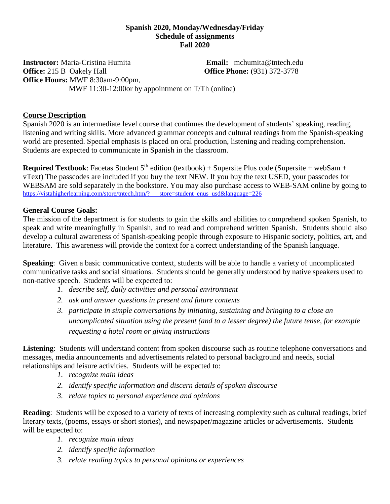### **Spanish 2020, Monday/Wednesday/Friday Schedule of assignments Fall 2020**

**Instructor:** Maria-Cristina Humita **Email:** mchumita@tntech.edu **Office: 215 B** Oakely Hall **Office Phone:** (931) 372-3778 **Office Hours:** MWF 8:30am-9:00pm, MWF 11:30-12:00 or by appointment on T/Th (online)

### **Course Description**

Spanish 2020 is an intermediate level course that continues the development of students' speaking, reading, listening and writing skills. More advanced grammar concepts and cultural readings from the Spanish-speaking world are presented. Special emphasis is placed on oral production, listening and reading comprehension. Students are expected to communicate in Spanish in the classroom.

**Required Textbook:** Facetas Student  $5<sup>th</sup>$  edition (textbook) + Supersite Plus code (Supersite + webSam + vText) The passcodes are included if you buy the text NEW. If you buy the text USED, your passcodes for WEBSAM are sold separately in the bookstore. You may also purchase access to WEB-SAM online by going to [https://vistahigherlearning.com/store/tntech.htm/?\\_\\_\\_store=student\\_enus\\_usd&language=226](https://vistahigherlearning.com/store/tntech.htm/?___store=student_enus_usd&language=226)

### **General Course Goals:**

The mission of the department is for students to gain the skills and abilities to comprehend spoken Spanish, to speak and write meaningfully in Spanish, and to read and comprehend written Spanish. Students should also develop a cultural awareness of Spanish-speaking people through exposure to Hispanic society, politics, art, and literature. This awareness will provide the context for a correct understanding of the Spanish language.

**Speaking:** Given a basic communicative context, students will be able to handle a variety of uncomplicated communicative tasks and social situations. Students should be generally understood by native speakers used to non-native speech. Students will be expected to:

- *1. describe self, daily activities and personal environment*
- *2. ask and answer questions in present and future contexts*
- *3. participate in simple conversations by initiating, sustaining and bringing to a close an uncomplicated situation using the present (and to a lesser degree) the future tense, for example requesting a hotel room or giving instructions*

**Listening**: Students will understand content from spoken discourse such as routine telephone conversations and messages, media announcements and advertisements related to personal background and needs, social relationships and leisure activities. Students will be expected to:

- *1. recognize main ideas*
- *2. identify specific information and discern details of spoken discourse*
- *3. relate topics to personal experience and opinions*

**Reading**: Students will be exposed to a variety of texts of increasing complexity such as cultural readings, brief literary texts, (poems, essays or short stories), and newspaper/magazine articles or advertisements. Students will be expected to:

- *1. recognize main ideas*
- *2. identify specific information*
- *3. relate reading topics to personal opinions or experiences*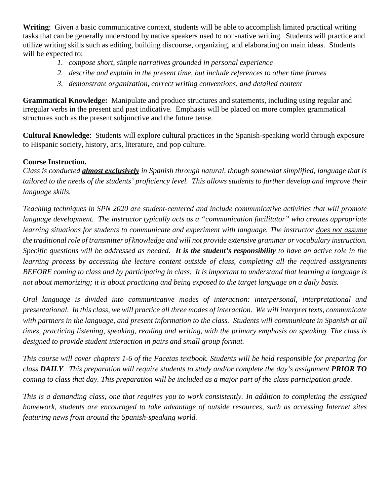**Writing**: Given a basic communicative context, students will be able to accomplish limited practical writing tasks that can be generally understood by native speakers used to non-native writing. Students will practice and utilize writing skills such as editing, building discourse, organizing, and elaborating on main ideas. Students will be expected to:

- *1. compose short, simple narratives grounded in personal experience*
- *2. describe and explain in the present time, but include references to other time frames*
- *3. demonstrate organization, correct writing conventions, and detailed content*

**Grammatical Knowledge:** Manipulate and produce structures and statements, including using regular and irregular verbs in the present and past indicative. Emphasis will be placed on more complex grammatical structures such as the present subjunctive and the future tense.

**Cultural Knowledge**: Students will explore cultural practices in the Spanish-speaking world through exposure to Hispanic society, history, arts, literature, and pop culture.

# **Course Instruction.**

*Class is conducted almost exclusively in Spanish through natural, though somewhat simplified, language that is tailored to the needs of the students' proficiency level. This allows students to further develop and improve their language skills.* 

*Teaching techniques in SPN 2020 are student-centered and include communicative activities that will promote language development. The instructor typically acts as a "communication facilitator" who creates appropriate learning situations for students to communicate and experiment with language. The instructor does not assume the traditional role of transmitter of knowledge and will not provide extensive grammar or vocabulary instruction. Specific questions will be addressed as needed. It is the student's responsibility to have an active role in the learning process by accessing the lecture content outside of class, completing all the required assignments BEFORE coming to class and by participating in class. It is important to understand that learning a language is not about memorizing; it is about practicing and being exposed to the target language on a daily basis.*

*Oral language is divided into communicative modes of interaction: interpersonal, interpretational and presentational. In this class, we will practice all three modes of interaction. We will interpret texts, communicate with partners in the language, and present information to the class. Students will communicate in Spanish at all times, practicing listening, speaking, reading and writing, with the primary emphasis on speaking. The class is designed to provide student interaction in pairs and small group format.*

*This course will cover chapters 1-6 of the Facetas textbook. Students will be held responsible for preparing for class DAILY. This preparation will require students to study and/or complete the day's assignment PRIOR TO coming to class that day. This preparation will be included as a major part of the class participation grade.*

*This is a demanding class, one that requires you to work consistently. In addition to completing the assigned homework, students are encouraged to take advantage of outside resources, such as accessing Internet sites featuring news from around the Spanish-speaking world.*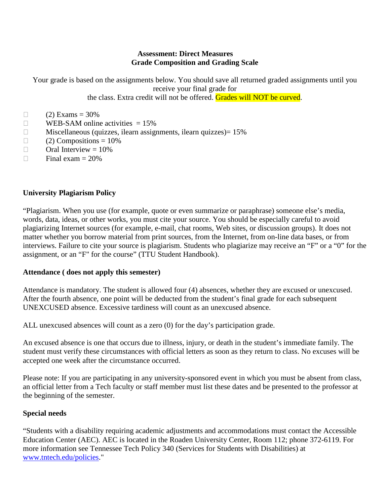### **Assessment: Direct Measures Grade Composition and Grading Scale**

Your grade is based on the assignments below. You should save all returned graded assignments until you receive your final grade for the class. Extra credit will not be offered. Grades will NOT be curved.

 $\Box$  (2) Exams = 30%

- $\Box$  WEB-SAM online activities = 15%
- $\Box$  Miscellaneous (quizzes, ilearn assignments, ilearn quizzes) = 15%
- $\Box$  (2) Compositions = 10%
- $\Box$  Oral Interview = 10%
- $\Box$  Final exam = 20%

#### **University Plagiarism Policy**

"Plagiarism. When you use (for example, quote or even summarize or paraphrase) someone else's media, words, data, ideas, or other works, you must cite your source. You should be especially careful to avoid plagiarizing Internet sources (for example, e-mail, chat rooms, Web sites, or discussion groups). It does not matter whether you borrow material from print sources, from the Internet, from on-line data bases, or from interviews. Failure to cite your source is plagiarism. Students who plagiarize may receive an "F" or a "0" for the assignment, or an "F" for the course" (TTU Student Handbook).

#### **Attendance ( does not apply this semester)**

Attendance is mandatory. The student is allowed four (4) absences, whether they are excused or unexcused. After the fourth absence, one point will be deducted from the student's final grade for each subsequent UNEXCUSED absence. Excessive tardiness will count as an unexcused absence.

ALL unexcused absences will count as a zero (0) for the day's participation grade.

An excused absence is one that occurs due to illness, injury, or death in the student's immediate family. The student must verify these circumstances with official letters as soon as they return to class. No excuses will be accepted one week after the circumstance occurred.

Please note: If you are participating in any university-sponsored event in which you must be absent from class, an official letter from a Tech faculty or staff member must list these dates and be presented to the professor at the beginning of the semester.

#### **Special needs**

"Students with a disability requiring academic adjustments and accommodations must contact the Accessible Education Center (AEC). AEC is located in the Roaden University Center, Room 112; phone 372-6119. For more information see Tennessee Tech Policy 340 (Services for Students with Disabilities) at [www.tntech.edu/policies.](https://www.tntech.edu/policies/index.php)"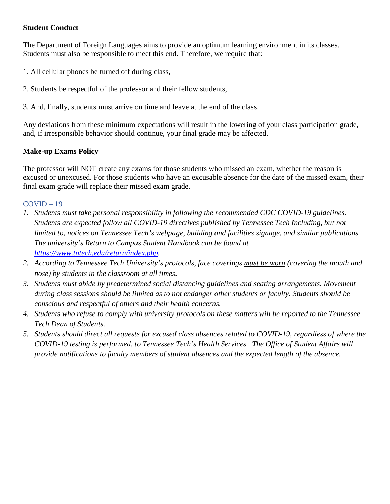## **Student Conduct**

The Department of Foreign Languages aims to provide an optimum learning environment in its classes. Students must also be responsible to meet this end. Therefore, we require that:

- 1. All cellular phones be turned off during class,
- 2. Students be respectful of the professor and their fellow students,
- 3. And, finally, students must arrive on time and leave at the end of the class.

Any deviations from these minimum expectations will result in the lowering of your class participation grade, and, if irresponsible behavior should continue, your final grade may be affected.

# **Make-up Exams Policy**

The professor will NOT create any exams for those students who missed an exam, whether the reason is excused or unexcused. For those students who have an excusable absence for the date of the missed exam, their final exam grade will replace their missed exam grade.

# COVID – 19

- *1. Students must take personal responsibility in following the recommended CDC COVID-19 guidelines. Students are expected follow all COVID-19 directives published by Tennessee Tech including, but not limited to, notices on Tennessee Tech's webpage, building and facilities signage, and similar publications. The university's Return to Campus Student Handbook can be found at [https://www.tntech.edu/return/index.php.](https://www.tntech.edu/return/index.php)*
- *2. According to Tennessee Tech University's protocols, face coverings must be worn (covering the mouth and nose) by students in the classroom at all times.*
- *3. Students must abide by predetermined social distancing guidelines and seating arrangements. Movement during class sessions should be limited as to not endanger other students or faculty. Students should be conscious and respectful of others and their health concerns.*
- *4. Students who refuse to comply with university protocols on these matters will be reported to the Tennessee Tech Dean of Students.*
- *5. Students should direct all requests for excused class absences related to COVID-19, regardless of where the COVID-19 testing is performed, to Tennessee Tech's Health Services. The Office of Student Affairs will provide notifications to faculty members of student absences and the expected length of the absence.*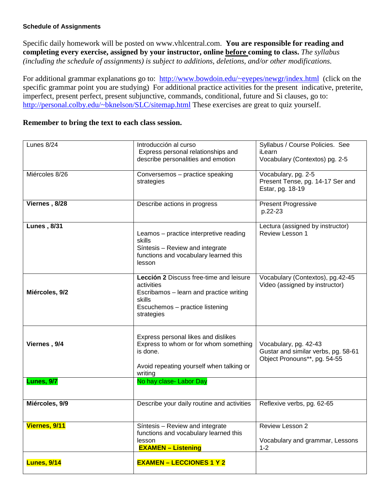#### **Schedule of Assignments**

Specific daily homework will be posted on www.vhlcentral.com. **You are responsible for reading and completing every exercise, assigned by your instructor, online before coming to class.** *The syllabus (including the schedule of assignments) is subject to additions, deletions, and/or other modifications*.

For additional grammar explanations go to: [http://www.bowdoin.edu/~eyepes/newgr/index.html](http://www.bowdoin.edu/%7Eeyepes/newgr/index.html) (click on the specific grammar point you are studying) For additional practice activities for the present indicative, preterite, imperfect, present perfect, present subjunctive, commands, conditional, future and Si clauses, go to: [http://personal.colby.edu/~bknelson/SLC/sitemap.html](http://personal.colby.edu/%7Ebknelson/SLC/sitemap.html) These exercises are great to quiz yourself.

### **Remember to bring the text to each class session.**

| Lunes 8/24          | Introducción al curso                      | Syllabus / Course Policies. See     |
|---------------------|--------------------------------------------|-------------------------------------|
|                     |                                            |                                     |
|                     | Express personal relationships and         | iLearn                              |
|                     | describe personalities and emotion         | Vocabulary (Contextos) pg. 2-5      |
|                     |                                            |                                     |
| Miércoles 8/26      | Conversemos - practice speaking            | Vocabulary, pg. 2-5                 |
|                     | strategies                                 | Present Tense, pg. 14-17 Ser and    |
|                     |                                            | Estar, pg. 18-19                    |
| Viernes, 8/28       |                                            |                                     |
|                     | Describe actions in progress               | <b>Present Progressive</b>          |
|                     |                                            | p.22-23                             |
| <b>Lunes</b> , 8/31 |                                            | Lectura (assigned by instructor)    |
|                     | Leamos - practice interpretive reading     | Review Lesson 1                     |
|                     | skills                                     |                                     |
|                     | Síntesis - Review and integrate            |                                     |
|                     | functions and vocabulary learned this      |                                     |
|                     | lesson                                     |                                     |
|                     |                                            |                                     |
|                     | Lección 2 Discuss free-time and leisure    | Vocabulary (Contextos), pg.42-45    |
|                     | activities                                 | Video (assigned by instructor)      |
| Miércoles, 9/2      | Escribamos - learn and practice writing    |                                     |
|                     | skills                                     |                                     |
|                     | Escuchemos - practice listening            |                                     |
|                     | strategies                                 |                                     |
|                     |                                            |                                     |
|                     |                                            |                                     |
|                     | Express personal likes and dislikes        |                                     |
| Viernes, 9/4        | Express to whom or for whom something      | Vocabulary, pg. 42-43               |
|                     | is done.                                   | Gustar and similar verbs, pg. 58-61 |
|                     |                                            | Object Pronouns**, pg. 54-55        |
|                     | Avoid repeating yourself when talking or   |                                     |
|                     | writing                                    |                                     |
| <b>Lunes</b> , 9/7  | No hay clase- Labor Day                    |                                     |
|                     |                                            |                                     |
| Miércoles, 9/9      | Describe your daily routine and activities | Reflexive verbs, pg. 62-65          |
|                     |                                            |                                     |
|                     |                                            |                                     |
| Viernes, 9/11       | Síntesis - Review and integrate            | Review Lesson 2                     |
|                     | functions and vocabulary learned this      |                                     |
|                     | lesson                                     | Vocabulary and grammar, Lessons     |
|                     | <b>EXAMEN - Listening</b>                  | $1 - 2$                             |
|                     |                                            |                                     |
| <b>Lunes, 9/14</b>  | <b>EXAMEN - LECCIONES 1 Y 2</b>            |                                     |
|                     |                                            |                                     |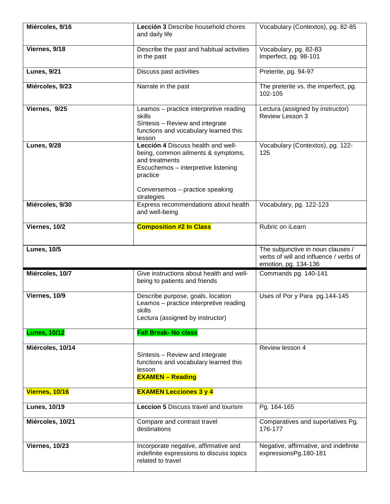| Miércoles, 9/16     | Lección 3 Describe household chores<br>and daily life                                                                                                                                          | Vocabulary (Contextos), pg. 82-85                                                                   |
|---------------------|------------------------------------------------------------------------------------------------------------------------------------------------------------------------------------------------|-----------------------------------------------------------------------------------------------------|
| Viernes, 9/18       | Describe the past and habitual activities<br>in the past                                                                                                                                       | Vocabulary, pg. 82-83<br>Imperfect, pg. 98-101                                                      |
| <b>Lunes, 9/21</b>  | Discuss past activities                                                                                                                                                                        | Preterite, pg. 94-97                                                                                |
| Miércoles, 9/23     | Narrate in the past                                                                                                                                                                            | The preterite vs. the imperfect, pg.<br>102-105                                                     |
| Viernes, 9/25       | Leamos - practice interpretive reading<br>skills<br>Síntesis - Review and integrate<br>functions and vocabulary learned this<br>lesson                                                         | Lectura (assigned by instructor)<br>Review Lesson 3                                                 |
| <b>Lunes, 9/28</b>  | Lección 4 Discuss health and well-<br>being, common ailments & symptoms,<br>and treatments<br>Escuchemos - interpretive listening<br>practice<br>Conversemos - practice speaking<br>strategies | Vocabulary (Contextos), pg. 122-<br>125                                                             |
| Miércoles, 9/30     | Express recommendations about health<br>and well-being                                                                                                                                         | Vocabulary, pg. 122-123                                                                             |
| Viernes, 10/2       | <b>Composition #2 In Class</b>                                                                                                                                                                 | Rubric on iLearn                                                                                    |
|                     |                                                                                                                                                                                                |                                                                                                     |
| <b>Lunes, 10/5</b>  |                                                                                                                                                                                                | The subjunctive in noun clauses /<br>verbs of will and influence / verbs of<br>emotion, pg. 134-136 |
| Miércoles, 10/7     | Give instructions about health and well-<br>being to patients and friends                                                                                                                      | Commands pg. 140-141                                                                                |
| Viernes, 10/9       | Describe purpose, goals, location<br>Leamos - practice interpretive reading<br>skills<br>Lectura (assigned by instructor)                                                                      | Uses of Por y Para pg.144-145                                                                       |
| <b>Lunes, 10/12</b> | <b>Fall Break- No class</b>                                                                                                                                                                    |                                                                                                     |
| Miércoles, 10/14    | Síntesis - Review and integrate<br>functions and vocabulary learned this<br>lesson<br><b>EXAMEN - Reading</b>                                                                                  | Review lesson 4                                                                                     |
| Viernes, 10/16      | <b>EXAMEN Lecciones 3 y 4</b>                                                                                                                                                                  |                                                                                                     |
| <b>Lunes, 10/19</b> | <b>Leccion 5 Discuss travel and tourism</b>                                                                                                                                                    | Pg. 164-165                                                                                         |
| Miércoles, 10/21    | Compare and contrast travel<br>destinations                                                                                                                                                    | Comparatives and superlatives Pg.<br>176-177                                                        |